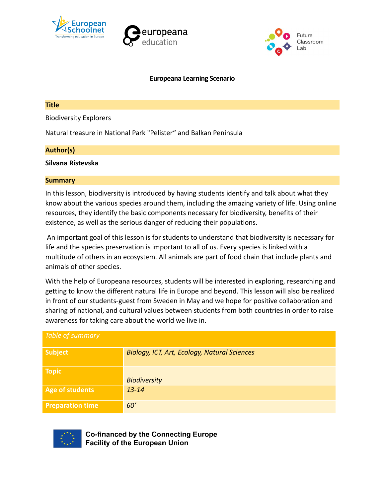





### **Europeana Learning Scenario**

## **Title**

Biodiversity Explorers

Natural treasure in National Park "Pelister" and Balkan Peninsula

## **Author(s)**

## **Silvana Ristevska**

## **Summary**

In this lesson, biodiversity is introduced by having students identify and talk about what they know about the various species around them, including the amazing variety of life. Using online resources, they identify the basic components necessary for biodiversity, benefits of their existence, as well as the serious danger of reducing their populations.

 An important goal of this lesson is for students to understand that biodiversity is necessary for life and the species preservation is important to all of us. Every species is linked with a multitude of others in an ecosystem. All animals are part of food chain that include plants and animals of other species.

With the help of Europeana resources, students will be interested in exploring, researching and getting to know the different natural life in Europe and beyond. This lesson will also be realized in front of our students-guest from Sweden in May and we hope for positive collaboration and sharing of national, and cultural values between students from both countries in order to raise awareness for taking care about the world we live in.

| Table of summary        |                                              |
|-------------------------|----------------------------------------------|
| <b>Subject</b>          | Biology, ICT, Art, Ecology, Natural Sciences |
| <b>Topic</b>            | <b>Biodiversity</b>                          |
| <b>Age of students</b>  | $13 - 14$                                    |
| <b>Preparation time</b> | 60'                                          |



**Co-financed by the Connecting Europe Facility of the European Union**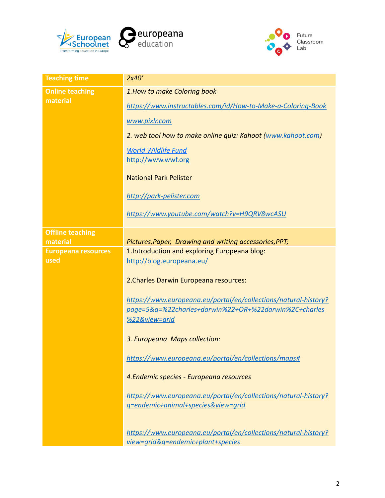



| <b>Teaching time</b>               | 2x40'                                                                                                                                                                                                                                                                                                                                         |
|------------------------------------|-----------------------------------------------------------------------------------------------------------------------------------------------------------------------------------------------------------------------------------------------------------------------------------------------------------------------------------------------|
| <b>Online teaching</b><br>material | 1. How to make Coloring book<br>https://www.instructables.com/id/How-to-Make-a-Coloring-Book<br>www.pixlr.com<br>2. web tool how to make online quiz: Kahoot (www.kahoot.com)<br><b>World Wildlife Fund</b><br>http://www.wwf.org<br><b>National Park Pelister</b><br>http://park-pelister.com<br>https://www.youtube.com/watch?v=H9QRV8wcASU |
| <b>Offline teaching</b>            |                                                                                                                                                                                                                                                                                                                                               |
| material                           | Pictures, Paper, Drawing and writing accessories, PPT;                                                                                                                                                                                                                                                                                        |
| <b>Europeana resources</b>         | 1. Introduction and exploring Europeana blog:                                                                                                                                                                                                                                                                                                 |
| used                               | http://blog.europeana.eu/                                                                                                                                                                                                                                                                                                                     |
|                                    | 2. Charles Darwin Europeana resources:                                                                                                                                                                                                                                                                                                        |
|                                    | https://www.europeana.eu/portal/en/collections/natural-history?<br>page=5&g=%22charles+darwin%22+OR+%22darwin%2C+charles                                                                                                                                                                                                                      |
|                                    | %22&view=grid                                                                                                                                                                                                                                                                                                                                 |
|                                    | 3. Europeana Maps collection:                                                                                                                                                                                                                                                                                                                 |
|                                    | https://www.europeana.eu/portal/en/collections/maps#                                                                                                                                                                                                                                                                                          |
|                                    | 4. Endemic species - Europeana resources                                                                                                                                                                                                                                                                                                      |
|                                    | https://www.europeana.eu/portal/en/collections/natural-history?                                                                                                                                                                                                                                                                               |
|                                    | g=endemic+animal+species&view=grid                                                                                                                                                                                                                                                                                                            |
|                                    | https://www.europeana.eu/portal/en/collections/natural-history?                                                                                                                                                                                                                                                                               |
|                                    | view=grid&g=endemic+plant+species                                                                                                                                                                                                                                                                                                             |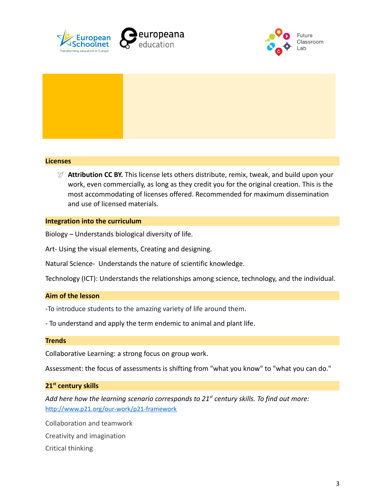





## **Licenses**

 **Attribution CC BY.** This license lets others distribute, remix, tweak, and build upon your work, even commercially, as long as they credit you for the original creation. This is the most accommodating of licenses offered. Recommended for maximum dissemination and use of licensed materials.

### **Integration into the curriculum**

Biology – Understands biological diversity of life.

Art- Using the visual elements, Creating and designing.

Natural Science- Understands the nature of scientific knowledge.

Technology (ICT): Understands the relationships among science, technology, and the individual.

#### **Aim of the lesson**

-To introduce students to the amazing variety of life around them.

- To understand and apply the term endemic to animal and plant life.

#### **Trends**

Collaborative Learning: a strong focus on group work.

Assessment: the focus of assessments is shifting from "what you know" to "what you can do."

#### **21st century skills**

*Add here how the learning scenario corresponds to 21st century skills. To find out more:* <http://www.p21.org/our-work/p21-framework>

Collaboration and teamwork Creativity and imagination Critical thinking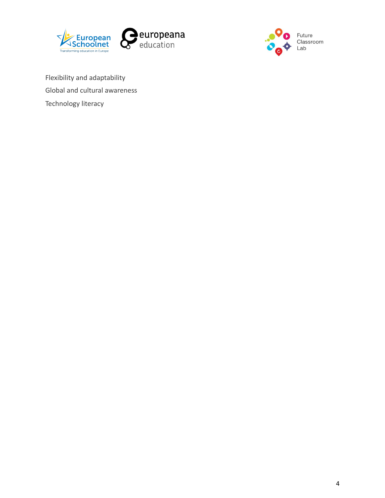



Flexibility and adaptability Global and cultural awareness Technology literacy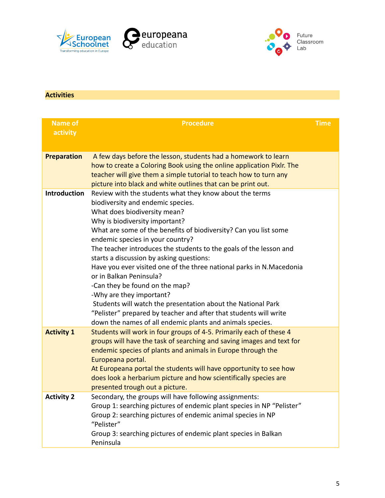





# **Activities**

| <b>Name of</b><br>activity | <b>Procedure</b>                                                                                                                                                                                                                                                                                                                                                                                                                                                                                                                                                                                                                                                                                                                                            | <b>Time</b> |
|----------------------------|-------------------------------------------------------------------------------------------------------------------------------------------------------------------------------------------------------------------------------------------------------------------------------------------------------------------------------------------------------------------------------------------------------------------------------------------------------------------------------------------------------------------------------------------------------------------------------------------------------------------------------------------------------------------------------------------------------------------------------------------------------------|-------------|
| <b>Preparation</b>         | A few days before the lesson, students had a homework to learn<br>how to create a Coloring Book using the online application Pixlr. The<br>teacher will give them a simple tutorial to teach how to turn any<br>picture into black and white outlines that can be print out.                                                                                                                                                                                                                                                                                                                                                                                                                                                                                |             |
| <b>Introduction</b>        | Review with the students what they know about the terms<br>biodiversity and endemic species.<br>What does biodiversity mean?<br>Why is biodiversity important?<br>What are some of the benefits of biodiversity? Can you list some<br>endemic species in your country?<br>The teacher introduces the students to the goals of the lesson and<br>starts a discussion by asking questions:<br>Have you ever visited one of the three national parks in N.Macedonia<br>or in Balkan Peninsula?<br>-Can they be found on the map?<br>-Why are they important?<br>Students will watch the presentation about the National Park<br>"Pelister" prepared by teacher and after that students will write<br>down the names of all endemic plants and animals species. |             |
| <b>Activity 1</b>          | Students will work in four groups of 4-5. Primarily each of these 4<br>groups will have the task of searching and saving images and text for<br>endemic species of plants and animals in Europe through the<br>Europeana portal.<br>At Europeana portal the students will have opportunity to see how<br>does look a herbarium picture and how scientifically species are<br>presented trough out a picture.                                                                                                                                                                                                                                                                                                                                                |             |
| <b>Activity 2</b>          | Secondary, the groups will have following assignments:<br>Group 1: searching pictures of endemic plant species in NP "Pelister"<br>Group 2: searching pictures of endemic animal species in NP<br>"Pelister"<br>Group 3: searching pictures of endemic plant species in Balkan<br>Peninsula                                                                                                                                                                                                                                                                                                                                                                                                                                                                 |             |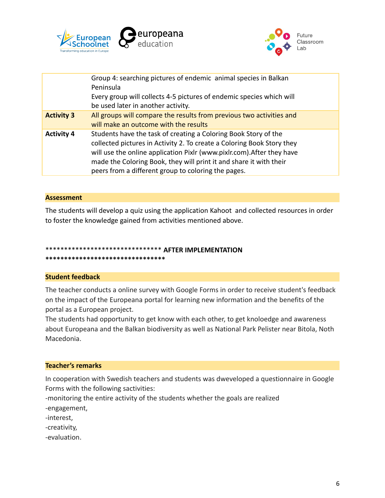



|                   | Group 4: searching pictures of endemic animal species in Balkan<br>Peninsula<br>Every group will collects 4-5 pictures of endemic species which will<br>be used later in another activity.                                                                                                                                                       |
|-------------------|--------------------------------------------------------------------------------------------------------------------------------------------------------------------------------------------------------------------------------------------------------------------------------------------------------------------------------------------------|
| <b>Activity 3</b> | All groups will compare the results from previous two activities and<br>will make an outcome with the results                                                                                                                                                                                                                                    |
| <b>Activity 4</b> | Students have the task of creating a Coloring Book Story of the<br>collected pictures in Activity 2. To create a Coloring Book Story they<br>will use the online application Pixlr (www.pixlr.com). After they have<br>made the Coloring Book, they will print it and share it with their<br>peers from a different group to coloring the pages. |
|                   |                                                                                                                                                                                                                                                                                                                                                  |

## **Assessment**

The students will develop a quiz using the application Kahoot and collected resources in order to foster the knowledge gained from activities mentioned above.

# \*\*\*\*\*\*\*\*\*\*\*\*\*\*\*\*\*\*\*\*\*\*\*\*\*\*\*\*\*\*\* **AFTER IMPLEMENTATION**

**\*\*\*\*\*\*\*\*\*\*\*\*\*\*\*\*\*\*\*\*\*\*\*\*\*\*\*\*\*\*\*\***

### **Student feedback**

The teacher conducts a online survey with Google Forms in order to receive student's feedback on the impact of the Europeana portal for learning new information and the benefits of the portal as a European project.

The students had opportunity to get know with each other, to get knoloedge and awareness about Europeana and the Balkan biodiversity as well as National Park Pelister near Bitola, Noth Macedonia.

#### **Teacher's remarks**

In cooperation with Swedish teachers and students was dweveloped a questionnaire in Google Forms with the following sactivities:

-monitoring the entire activity of the students whether the goals are realized -engagement,

-interest,

-creativity,

-evaluation.